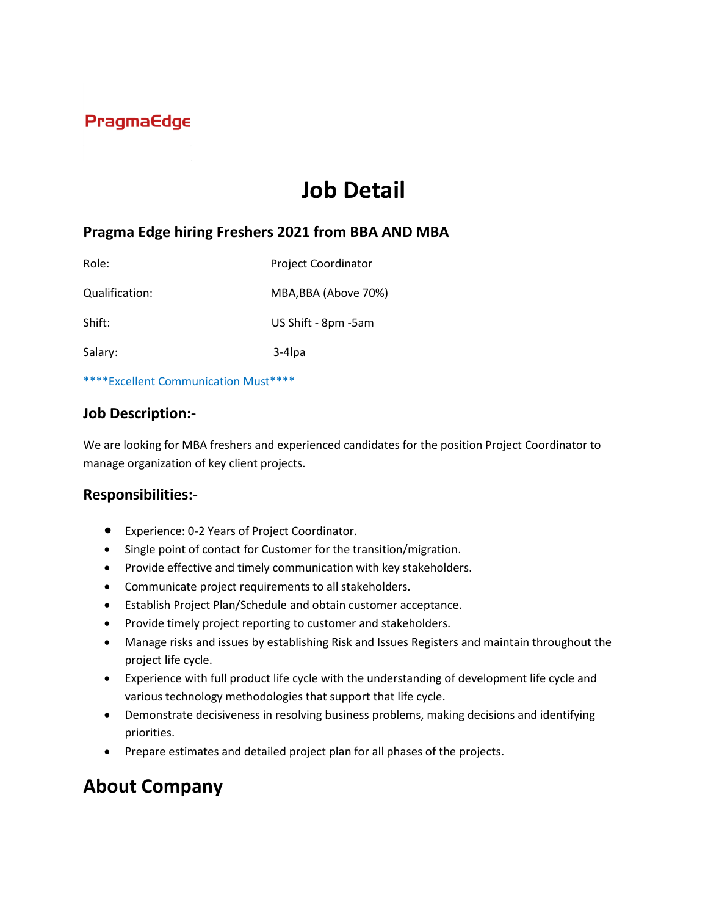## **PragmaEdge**

# **Job Detail**

### **Pragma Edge hiring Freshers 2021 from BBA AND MBA**

| Role:          | <b>Project Coordinator</b> |
|----------------|----------------------------|
| Qualification: | MBA, BBA (Above 70%)       |
| Shift:         | US Shift - 8pm -5am        |
| Salary:        | 3-4 lpa                    |

\*\*\*\*Excellent Communication Must\*\*\*\*

#### **Job Description:-**

We are looking for MBA freshers and experienced candidates for the position Project Coordinator to manage organization of key client projects.

#### **Responsibilities:-**

- Experience: 0-2 Years of Project Coordinator.
- Single point of contact for Customer for the transition/migration.
- Provide effective and timely communication with key stakeholders.
- Communicate project requirements to all stakeholders.
- Establish Project Plan/Schedule and obtain customer acceptance.
- Provide timely project reporting to customer and stakeholders.
- Manage risks and issues by establishing Risk and Issues Registers and maintain throughout the project life cycle.
- Experience with full product life cycle with the understanding of development life cycle and various technology methodologies that support that life cycle.
- Demonstrate decisiveness in resolving business problems, making decisions and identifying priorities.
- Prepare estimates and detailed project plan for all phases of the projects.

## **About Company**